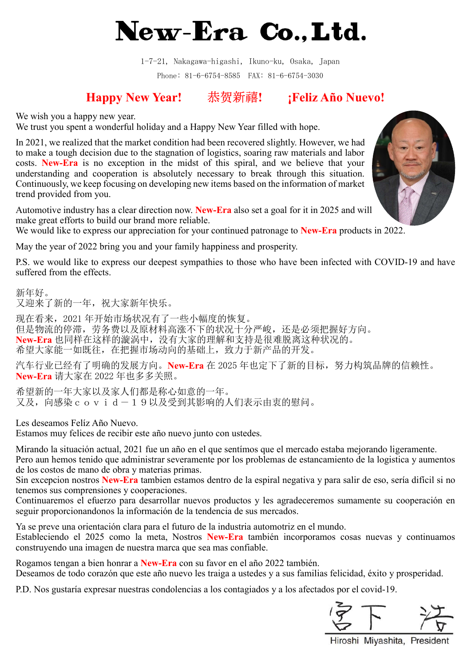## New-Era Co., Ltd.

1-7-21, Nakagawa-higashi, Ikuno-ku, Osaka, Japan Phone: 81-6-6754-8585 FAX: 81-6-6754-3030

## Happy New Year! 恭贺新禧! ¡Feliz Año Nuevo!

We wish you a happy new year.

We trust you spent a wonderful holiday and a Happy New Year filled with hope.

In 2021, we realized that the market condition had been recovered slightly. However, we had to make a tough decision due to the stagnation of logistics, soaring raw materials and labor costs. New-Era is no exception in the midst of this spiral, and we believe that your understanding and cooperation is absolutely necessary to break through this situation. Continuously, we keep focusing on developing new items based on the information of market trend provided from you.

Automotive industry has a clear direction now. New-Era also set a goal for it in 2025 and will make great efforts to build our brand more reliable.

We would like to express our appreciation for your continued patronage to **New-Era** products in 2022.

May the year of 2022 bring you and your family happiness and prosperity.

P.S. we would like to express our deepest sympathies to those who have been infected with COVID-19 and have suffered from the effects.

新年好。 又迎来了新的一年,祝大家新年快乐。

现在看来,2021 年开始市场状况有了一些小幅度的恢复。 但是物流的停滞,劳务费以及原材料高涨不下的状况十分严峻,还是必须把握好方向。 New-Era 也同样在这样的漩涡中,没有大家的理解和支持是很难脱离这种状况的。 希望大家能一如既往,在把握市场动向的基础上,致力于新产品的开发。

汽车行业已经有了明确的发展方向。New-Era 在 2025 年也定下了新的目标, 努力构筑品牌的信赖性。 New-Era 请大家在 2022 年也多多关照。

希望新的一年大家以及家人们都是称心如意的一年。 又及,向感染covid-19以及受到其影响的人们表示由衷的慰问。

Les deseamos Felíz Año Nuevo.

Estamos muy felices de recibir este año nuevo junto con ustedes.

Mirando la situación actual, 2021 fue un año en el que sentímos que el mercado estaba mejorando ligeramente.

Pero aun hemos tenido que administrar severamente por los problemas de estancamiento de la logistica y aumentos de los costos de mano de obra y materias primas.

Sin excepcion nostros New-Era tambien estamos dentro de la espiral negativa y para salir de eso, sería difícil si no tenemos sus comprensiones y cooperaciones.

Continuaremos el efuerzo para desarrollar nuevos productos y les agradeceremos sumamente su cooperación en seguir proporcionandonos la información de la tendencia de sus mercados.

Ya se preve una orientación clara para el futuro de la industria automotriz en el mundo. Estableciendo el 2025 como la meta, Nostros New-Era también incorporamos cosas nuevas y continuamos construyendo una imagen de nuestra marca que sea mas confiable.

Rogamos tengan a bien honrar a New-Era con su favor en el año 2022 también.

Deseamos de todo corazón que este año nuevo les traiga a ustedes y a sus familias felicidad, éxito y prosperidad.

P.D. Nos gustaría expresar nuestras condolencias a los contagiados y a los afectados por el covid-19.



Hiroshi Miyashita, President